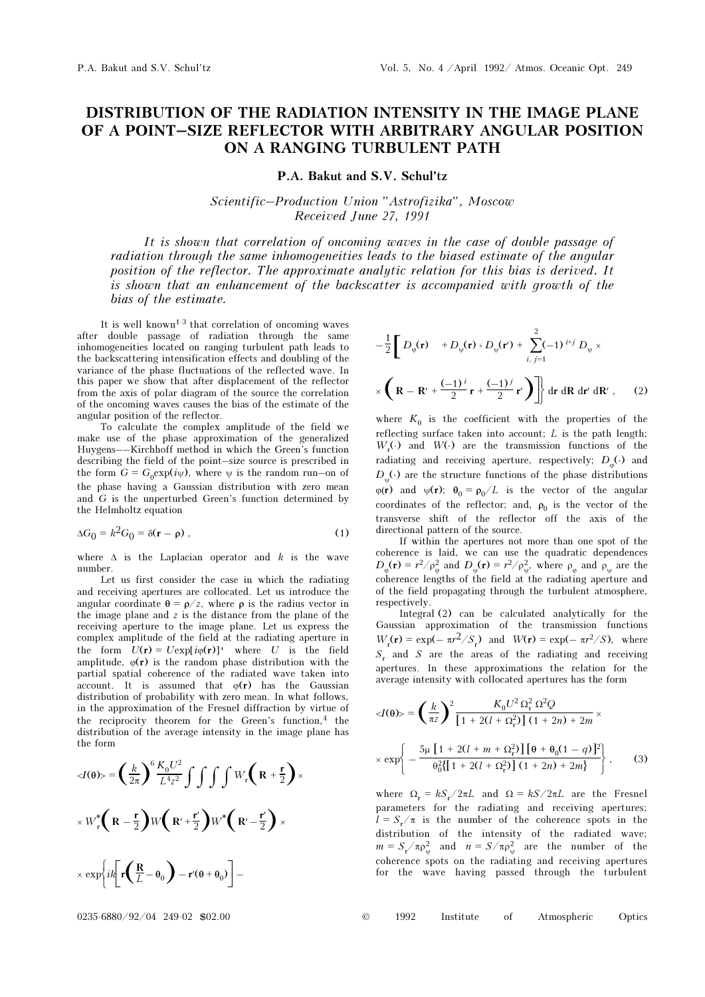## DISTRIBUTION OF THE RADIATION INTENSITY IN THE IMAGE PLANE OF A POINT–SIZE REFLECTOR WITH ARBITRARY ANGULAR POSITION ON A RANGING TURBULENT PATH

P.A. Bakut and S.V. Schul'tz

Scientific–Production Union "Astrofizika", Moscow Received June 27, 1991

It is shown that correlation of oncoming waves in the case of double passage of radiation through the same inhomogeneities leads to the biased estimate of the angular position of the reflector. The approximate analytic relation for this bias is derived. It is shown that an enhancement of the backscatter is accompanied with growth of the bias of the estimate.

It is well known<sup>1-3</sup> that correlation of oncoming waves after double passage of radiation through the same inhomogeneities located on ranging turbulent path leads to the backscattering intensification effects and doubling of the variance of the phase fluctuations of the reflected wave. In this paper we show that after displacement of the reflector from the axis of polar diagram of the source the correlation of the oncoming waves causes the bias of the estimate of the angular position of the reflector.

To calculate the complex amplitude of the field we make use of the phase approximation of the generalized Huygens––Kirchhoff method in which the Green's function describing the field of the point–size source is prescribed in the form  $G = G_0 \exp(i\psi)$ , where  $\psi$  is the random run–on of the phase having a Gaussian distribution with zero mean and G is the unperturbed Green's function determined by the Helmholtz equation

$$
\Delta G_0 = k^2 G_0 = \delta(\mathbf{r} - \rho) \tag{1}
$$

where  $\Delta$  is the Laplacian operator and k is the wave number.

Let us first consider the case in which the radiating and receiving apertures are collocated. Let us introduce the angular coordinate  $\theta = \rho/z$ , where  $\rho$  is the radius vector in the image plane and  $z$  is the distance from the plane of the receiving aperture to the image plane. Let us express the complex amplitude of the field at the radiating aperture in the form  $U(\mathbf{r}) = U \exp[i\varphi(\mathbf{r})]$  where U is the field amplitude,  $\varphi(\mathbf{r})$  is the random phase distribution with the partial spatial coherence of the radiated wave taken into account. It is assumed that  $\varphi(\mathbf{r})$  has the Gaussian distribution of probability with zero mean. In what follows, in the approximation of the Fresnel diffraction by virtue of the reciprocity theorem for the Green's function, $4$  the distribution of the average intensity in the image plane has the form

$$
\langle I(\theta) \rangle = \left(\frac{k}{2\pi}\right)^6 \frac{K_0 U^2}{L^4 z^2} \int \int \int \int W_r \left(R + \frac{\mathbf{r}}{2}\right) \times
$$

$$
\times W_r^* \left(R - \frac{\mathbf{r}}{2}\right) W \left(R' + \frac{\mathbf{r}'}{2}\right) W^* \left(R' - \frac{\mathbf{r}'}{2}\right) \times
$$

$$
\times \exp\left\{ik \left[r \left(\frac{R}{L} - \theta_0\right) - \mathbf{r}'(\theta + \theta_0)\right] - \mathbf{r}'(\theta + \theta_0)\right\} \times
$$

$$
-\frac{1}{2}\left[D_{\varphi}(\mathbf{r}) + D_{\psi}(\mathbf{r}) + D_{\psi}(\mathbf{r}') + \sum_{i,\ j=1}^{2}(-1)^{i+j} D_{\psi} \times \right]
$$

$$
\times \left(\mathbf{R} - \mathbf{R}' + \frac{(-1)^{i}}{2}\mathbf{r} + \frac{(-1)^{j}}{2}\mathbf{r}'\right)\right] \text{d}\mathbf{r} \text{d}\mathbf{R} \text{d}\mathbf{r}' \text{d}\mathbf{R}', \qquad (2)
$$

where  $K_0$  is the coefficient with the properties of the reflecting surface taken into account;  $L$  is the path length;  $W_{\rm r}(\cdot)$  and  $W(\cdot)$  are the transmission functions of the radiating and receiving aperture, respectively;  $D_{\alpha}(\cdot)$  and  $D_{\psi}(\cdot)$  are the structure functions of the phase distributions  $\varphi(\mathbf{r})$  and  $\psi(\mathbf{r})$ ;  $\theta_0 = \rho_0 / L$  is the vector of the angular coordinates of the reflector; and,  $\rho_0$  is the vector of the transverse shift of the reflector off the axis of the directional pattern of the source.

If within the apertures not more than one spot of the coherence is laid, we can use the quadratic dependences  $D_{\varphi}(\mathbf{r}) = r^2/\rho_{\varphi}^2$  and  $D_{\psi}(\mathbf{r}) = r^2/\rho_{\psi}^2$ , where  $\rho_{\varphi}$  and  $\rho_{\psi}$  are the coherence lengths of the field at the radiating aperture and of the field propagating through the turbulent atmosphere, respectively.

Integral (2) can be calculated analytically for the Gaussian approximation of the transmission functions  $W_{\rm r}(\mathbf{r}) = \exp(-\pi r^2/S_{\rm r})$  and  $W(\mathbf{r}) = \exp(-\pi r^2/S)$ , where  $S_r$  and S are the areas of the radiating and receiving apertures. In these approximations the relation for the average intensity with collocated apertures has the form

$$
\langle J(\theta) \rangle = \left(\frac{k}{\pi z}\right)^2 \frac{K_0 U^2 \,\Omega_{\rm r}^2 \,\Omega^2 Q}{\left[1 + 2(l + \Omega_{\rm r}^2)\right] \,(1 + 2n) + 2m} \times
$$
\n
$$
\times \exp\left\{-\frac{5\mu \left[1 + 2(l + m + \Omega_{\rm r}^2)\right] \left[\theta + \theta_0 (1 - q)\right]^2}{\theta_0^2 \{[1 + 2(l + \Omega_{\rm r}^2)\right] \,(1 + 2n) + 2m\}}\right\},\tag{3}
$$

where  $\Omega_r = kS_r/2\pi L$  and  $\Omega = kS/2\pi L$  are the Fresnel parameters for the radiating and receiving apertures;  $l = S_r / \pi$  is the number of the coherence spots in the distribution of the intensity of the radiated wave;  $m = S_r / \pi \rho_{\psi}^2$  and  $n = S / \pi \rho_{\psi}^2$  are the number of the coherence spots on the radiating and receiving apertures for the wave having passed through the turbulent

0235-6880/92/04 249-02 \$02.00 © 1992 Institute of Atmospheric Optics